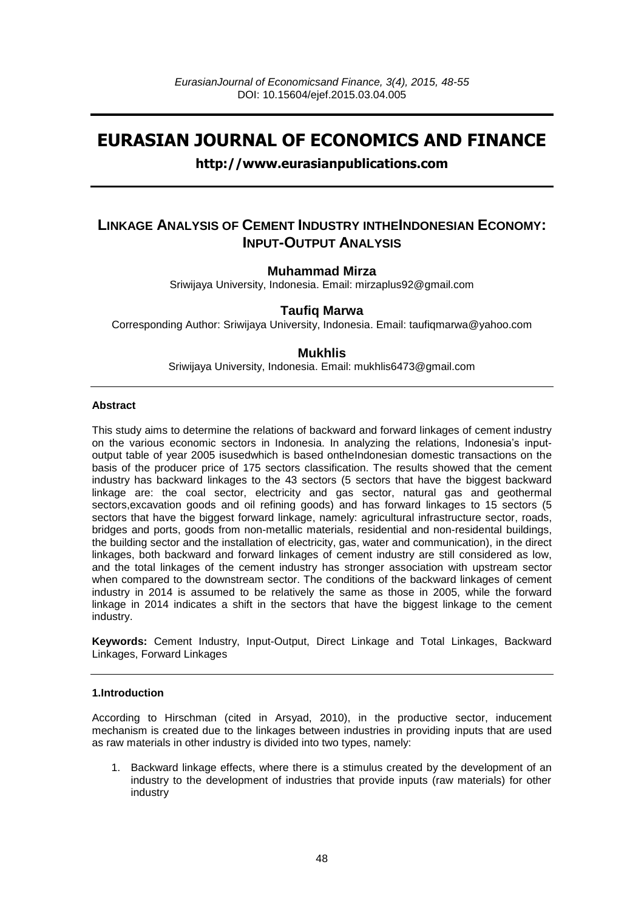# **EURASIAN JOURNAL OF ECONOMICS AND FINANCE**

# **http://www.eurasianpublications.com**

# **LINKAGE ANALYSIS OF CEMENT INDUSTRY INTHEINDONESIAN ECONOMY: INPUT-OUTPUT ANALYSIS**

### **Muhammad Mirza**

Sriwijaya University, Indonesia. Email: mirzaplus92@gmail.com

## **Taufiq Marwa**

Corresponding Author: Sriwijaya University, Indonesia. Email: [taufiqmarwa@yahoo.com](mailto:taufiqmarwa@yahoo.com)

### **Mukhlis**

Sriwijaya University, Indonesia. Email: mukhlis6473@gmail.com

#### **Abstract**

This study aims to determine the relations of backward and forward linkages of cement industry on the various economic sectors in Indonesia. In analyzing the relations, Indonesia's inputoutput table of year 2005 isusedwhich is based ontheIndonesian domestic transactions on the basis of the producer price of 175 sectors classification. The results showed that the cement industry has backward linkages to the 43 sectors (5 sectors that have the biggest backward linkage are: the coal sector, electricity and gas sector, natural gas and geothermal sectors,excavation goods and oil refining goods) and has forward linkages to 15 sectors (5 sectors that have the biggest forward linkage, namely: agricultural infrastructure sector, roads, bridges and ports, goods from non-metallic materials, residential and non-residental buildings, the building sector and the installation of electricity, gas, water and communication), in the direct linkages, both backward and forward linkages of cement industry are still considered as low, and the total linkages of the cement industry has stronger association with upstream sector when compared to the downstream sector. The conditions of the backward linkages of cement industry in 2014 is assumed to be relatively the same as those in 2005, while the forward linkage in 2014 indicates a shift in the sectors that have the biggest linkage to the cement industry.

**Keywords:** Cement Industry, Input-Output, Direct Linkage and Total Linkages, Backward Linkages, Forward Linkages

#### **1.Introduction**

According to Hirschman (cited in Arsyad, 2010), in the productive sector, inducement mechanism is created due to the linkages between industries in providing inputs that are used as raw materials in other industry is divided into two types, namely:

1. Backward linkage effects, where there is a stimulus created by the development of an industry to the development of industries that provide inputs (raw materials) for other industry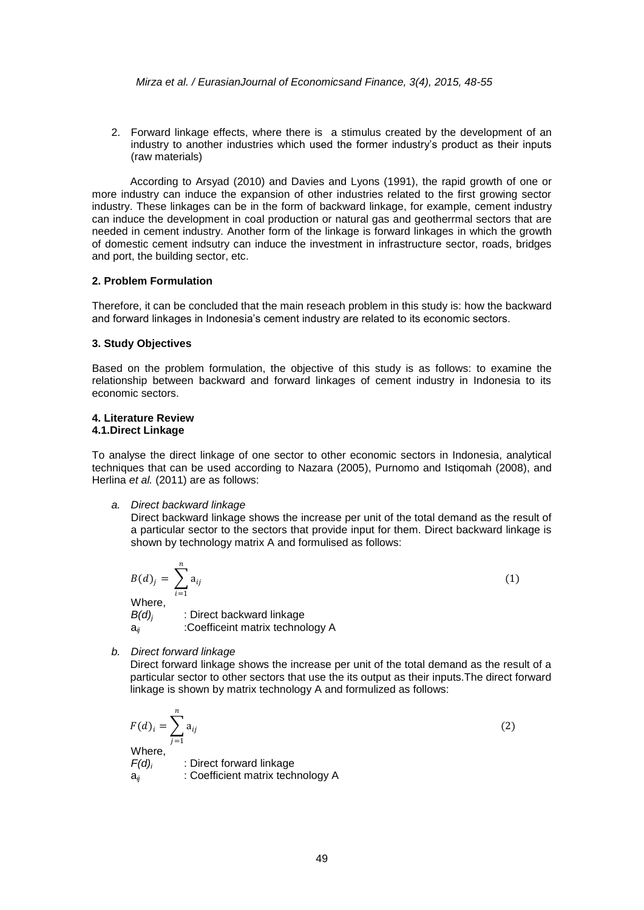2. Forward linkage effects, where there is a stimulus created by the development of an industry to another industries which used the former industry's product as their inputs (raw materials)

According to Arsyad (2010) and Davies and Lyons (1991), the rapid growth of one or more industry can induce the expansion of other industries related to the first growing sector industry. These linkages can be in the form of backward linkage, for example, cement industry can induce the development in coal production or natural gas and geotherrmal sectors that are needed in cement industry. Another form of the linkage is forward linkages in which the growth of domestic cement indsutry can induce the investment in infrastructure sector, roads, bridges and port, the building sector, etc.

#### **2. Problem Formulation**

Therefore, it can be concluded that the main reseach problem in this study is: how the backward and forward linkages in Indonesia's cement industry are related to its economic sectors.

#### **3. Study Objectives**

Based on the problem formulation, the objective of this study is as follows: to examine the relationship between backward and forward linkages of cement industry in Indonesia to its economic sectors.

#### **4. Literature Review 4.1.Direct Linkage**

To analyse the direct linkage of one sector to other economic sectors in Indonesia, analytical techniques that can be used according to Nazara (2005), Purnomo and Istiqomah (2008), and Herlina *et al.* (2011) are as follows:

#### *a. Direct backward linkage*

Direct backward linkage shows the increase per unit of the total demand as the result of a particular sector to the sectors that provide input for them. Direct backward linkage is shown by technology matrix A and formulised as follows:

$$
B(d)_j = \sum_{i=1}^n a_{ij}
$$
  
Where,  

$$
B(d)_j
$$
 : Direct backward linkage  

$$
a_{ij}
$$
 : Coefficient matrix technology A

*b. Direct forward linkage*

Direct forward linkage shows the increase per unit of the total demand as the result of a particular sector to other sectors that use the its output as their inputs.The direct forward linkage is shown by matrix technology A and formulized as follows:

$$
F(d)_i = \sum_{j=1}^n a_{ij}
$$
  
Where,  
 $F(d)_i$  : Direct forward linkage  
 $a_{ij}$  : Coefficient matrix technology A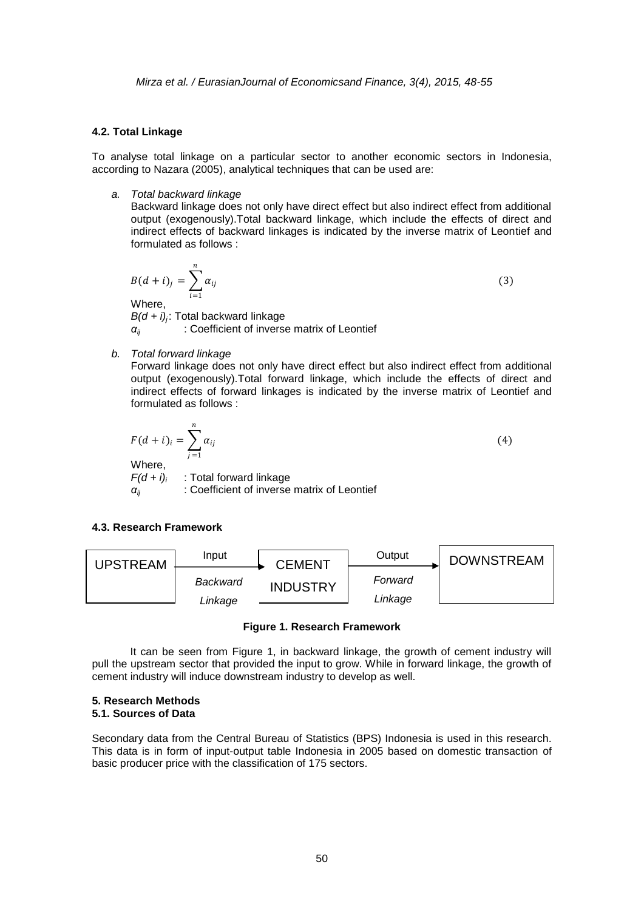#### **4.2. Total Linkage**

To analyse total linkage on a particular sector to another economic sectors in Indonesia, according to Nazara (2005), analytical techniques that can be used are:

*a. Total backward linkage*

Backward linkage does not only have direct effect but also indirect effect from additional output (exogenously).Total backward linkage, which include the effects of direct and indirect effects of backward linkages is indicated by the inverse matrix of Leontief and formulated as follows :

$$
B(d + i)_j = \sum_{i=1}^n \alpha_{ij}
$$
  
Where,  

$$
B(d + i)_j
$$
: Total backward linkage  

$$
\alpha_{ij}
$$
: Coefficient of inverse matrix of Leontief

*b. Total forward linkage*

Forward linkage does not only have direct effect but also indirect effect from additional output (exogenously).Total forward linkage, which include the effects of direct and indirect effects of forward linkages is indicated by the inverse matrix of Leontief and formulated as follows :

$$
F(d + i)_i = \sum_{j=1}^{n} \alpha_{ij}
$$
  
Where,  

$$
F(d + i)_i
$$
: Total forward linkage  

$$
\alpha_{ij}
$$
: Coefficient of inverse matrix of Leontief

#### **4.3. Research Framework**



#### **Figure 1. Research Framework**

It can be seen from Figure 1, in backward linkage, the growth of cement industry will pull the upstream sector that provided the input to grow. While in forward linkage, the growth of cement industry will induce downstream industry to develop as well.

#### **5. Research Methods 5.1. Sources of Data**

Secondary data from the Central Bureau of Statistics (BPS) Indonesia is used in this research. This data is in form of input-output table Indonesia in 2005 based on domestic transaction of basic producer price with the classification of 175 sectors.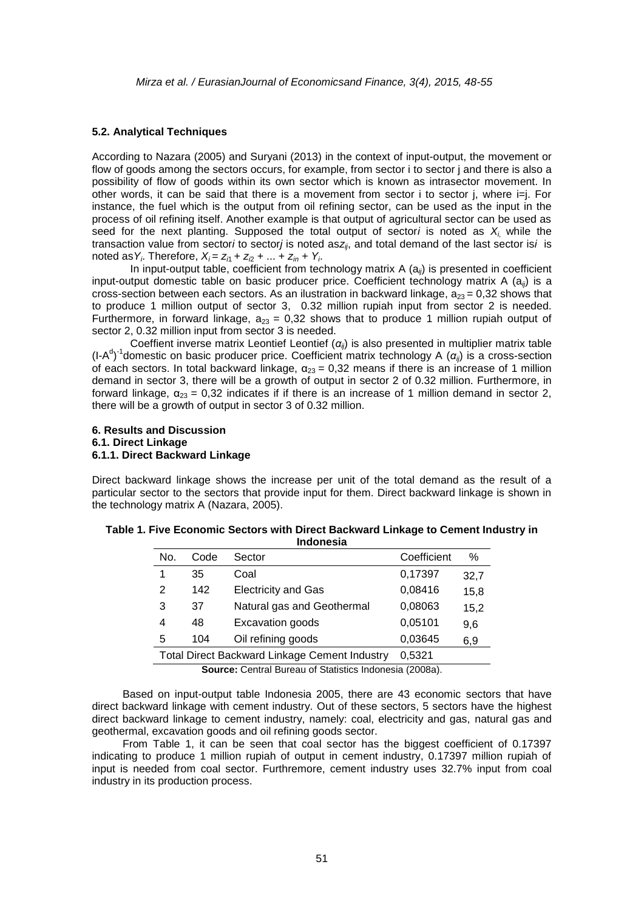#### **5.2. Analytical Techniques**

According to Nazara (2005) and Suryani (2013) in the context of input-output, the movement or flow of goods among the sectors occurs, for example, from sector i to sector j and there is also a possibility of flow of goods within its own sector which is known as intrasector movement. In other words, it can be said that there is a movement from sector i to sector j, where i=j. For instance, the fuel which is the output from oil refining sector, can be used as the input in the process of oil refining itself. Another example is that output of agricultural sector can be used as seed for the next planting. Supposed the total output of sector*i* is noted as *X<sup>i</sup>*, while the transaction value from sector*i* to sector*j* is noted as*zij*, and total demand of the last sector is*i* is noted as  $Y_i$ . Therefore,  $X_i = Z_{i1} + Z_{i2} + ... + Z_{in} + Y_i$ .

In input-output table, coefficient from technology matrix A (a*ij*) is presented in coefficient input-output domestic table on basic producer price. Coefficient technology matrix A (a*ij*) is a cross-section between each sectors. As an ilustration in backward linkage,  $a_{23} = 0.32$  shows that to produce 1 million output of sector 3, 0.32 million rupiah input from sector 2 is needed. Furthermore, in forward linkage,  $a_{23} = 0.32$  shows that to produce 1 million rupiah output of sector 2, 0.32 million input from sector 3 is needed.

Coeffient inverse matrix Leontief Leontief (*αij*) is also presented in multiplier matrix table (I-A d ) -1 domestic on basic producer price. Coefficient matrix technology A (*αij*) is a cross-section of each sectors. In total backward linkage,  $\alpha_{23} = 0.32$  means if there is an increase of 1 million demand in sector 3, there will be a growth of output in sector 2 of 0.32 million. Furthermore, in forward linkage,  $\alpha_{23} = 0.32$  indicates if if there is an increase of 1 million demand in sector 2, there will be a growth of output in sector 3 of 0.32 million.

#### **6. Results and Discussion 6.1. Direct Linkage 6.1.1. Direct Backward Linkage**

Direct backward linkage shows the increase per unit of the total demand as the result of a particular sector to the sectors that provide input for them. Direct backward linkage is shown in the technology matrix A (Nazara, 2005).

| No. | Code                                                           | Sector                     | Coefficient | %    |  |
|-----|----------------------------------------------------------------|----------------------------|-------------|------|--|
| 1   | 35                                                             | Coal                       | 0,17397     | 32,7 |  |
| 2   | 142                                                            | <b>Electricity and Gas</b> | 0,08416     | 15,8 |  |
| 3   | 37                                                             | Natural gas and Geothermal | 0,08063     | 15,2 |  |
| 4   | 48                                                             | Excavation goods           | 0,05101     | 9,6  |  |
| 5   | 104                                                            | Oil refining goods         | 0,03645     | 6,9  |  |
|     | 0,5321<br><b>Total Direct Backward Linkage Cement Industry</b> |                            |             |      |  |
|     | <b>Source:</b> Central Bureau of Statistics Indonesia (2008a). |                            |             |      |  |

| Table 1. Five Economic Sectors with Direct Backward Linkage to Cement Industry in |
|-----------------------------------------------------------------------------------|
| Indonesia                                                                         |

Based on input-output table Indonesia 2005, there are 43 economic sectors that have direct backward linkage with cement industry. Out of these sectors, 5 sectors have the highest direct backward linkage to cement industry, namely: coal, electricity and gas, natural gas and geothermal, excavation goods and oil refining goods sector.

From Table 1, it can be seen that coal sector has the biggest coefficient of 0.17397 indicating to produce 1 million rupiah of output in cement industry, 0.17397 million rupiah of input is needed from coal sector. Furthremore, cement industry uses 32.7% input from coal industry in its production process.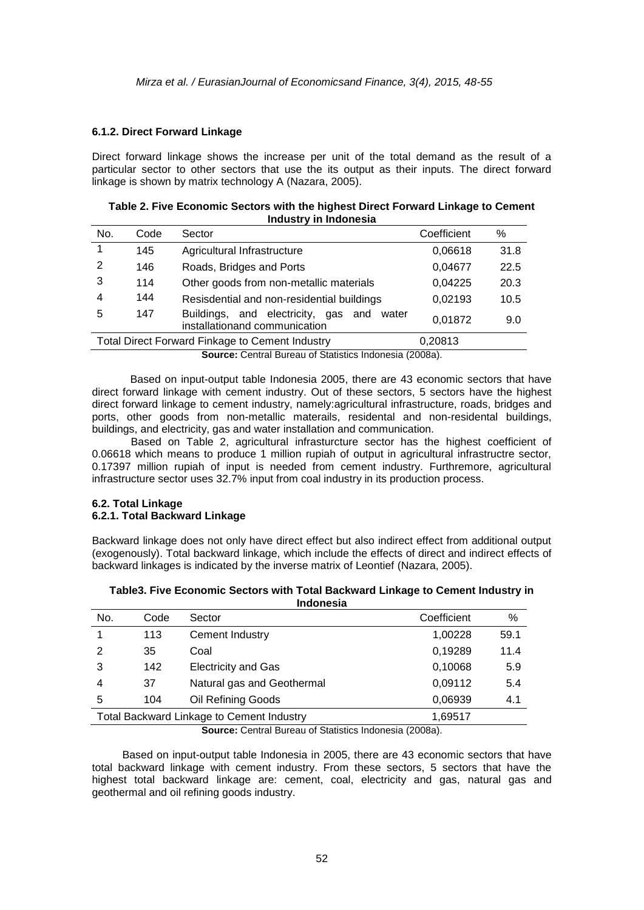#### **6.1.2. Direct Forward Linkage**

Direct forward linkage shows the increase per unit of the total demand as the result of a particular sector to other sectors that use the its output as their inputs. The direct forward linkage is shown by matrix technology A (Nazara, 2005).

| Table 2. Five Economic Sectors with the highest Direct Forward Linkage to Cement |
|----------------------------------------------------------------------------------|
| Industry in Indonesia                                                            |

| No.                                                    | Code | Sector                                                                     | Coefficient | %    |
|--------------------------------------------------------|------|----------------------------------------------------------------------------|-------------|------|
| 1                                                      | 145  | Agricultural Infrastructure                                                | 0,06618     | 31.8 |
| 2                                                      | 146  | Roads, Bridges and Ports                                                   | 0,04677     | 22.5 |
| 3                                                      | 114  | Other goods from non-metallic materials                                    | 0.04225     | 20.3 |
| 4                                                      | 144  | Resisdential and non-residential buildings                                 | 0,02193     | 10.5 |
| 5                                                      | 147  | Buildings, and electricity, gas and water<br>installationand communication | 0,01872     | 9.0  |
| <b>Total Direct Forward Finkage to Cement Industry</b> |      |                                                                            | 0,20813     |      |
| $0.0000000$ $0.000000$                                 |      |                                                                            |             |      |

**Source:** Central Bureau of Statistics Indonesia (2008a).

Based on input-output table Indonesia 2005, there are 43 economic sectors that have direct forward linkage with cement industry. Out of these sectors, 5 sectors have the highest direct forward linkage to cement industry, namely:agricultural infrastructure, roads, bridges and ports, other goods from non-metallic materails, residental and non-residental buildings, buildings, and electricity, gas and water installation and communication.

Based on Table 2, agricultural infrasturcture sector has the highest coefficient of 0.06618 which means to produce 1 million rupiah of output in agricultural infrastructre sector, 0.17397 million rupiah of input is needed from cement industry. Furthremore, agricultural infrastructure sector uses 32.7% input from coal industry in its production process.

#### **6.2. Total Linkage 6.2.1. Total Backward Linkage**

Backward linkage does not only have direct effect but also indirect effect from additional output (exogenously). Total backward linkage, which include the effects of direct and indirect effects of backward linkages is indicated by the inverse matrix of Leontief (Nazara, 2005).

| Table3. Five Economic Sectors with Total Backward Linkage to Cement Industry in |
|---------------------------------------------------------------------------------|
| <b>Indonesia</b>                                                                |

| No.                                       | Code | Sector                     | Coefficient | ℅    |
|-------------------------------------------|------|----------------------------|-------------|------|
|                                           | 113  | Cement Industry            | 1,00228     | 59.1 |
| 2                                         | 35   | Coal                       | 0,19289     | 11.4 |
| 3                                         | 142  | <b>Electricity and Gas</b> | 0,10068     | 5.9  |
| 4                                         | 37   | Natural gas and Geothermal | 0,09112     | 5.4  |
| 5                                         | 104  | Oil Refining Goods         | 0,06939     | 4.1  |
| Total Backward Linkage to Cement Industry |      |                            | 1,69517     |      |

**Source:** Central Bureau of Statistics Indonesia (2008a).

Based on input-output table Indonesia in 2005, there are 43 economic sectors that have total backward linkage with cement industry. From these sectors, 5 sectors that have the highest total backward linkage are: cement, coal, electricity and gas, natural gas and geothermal and oil refining goods industry.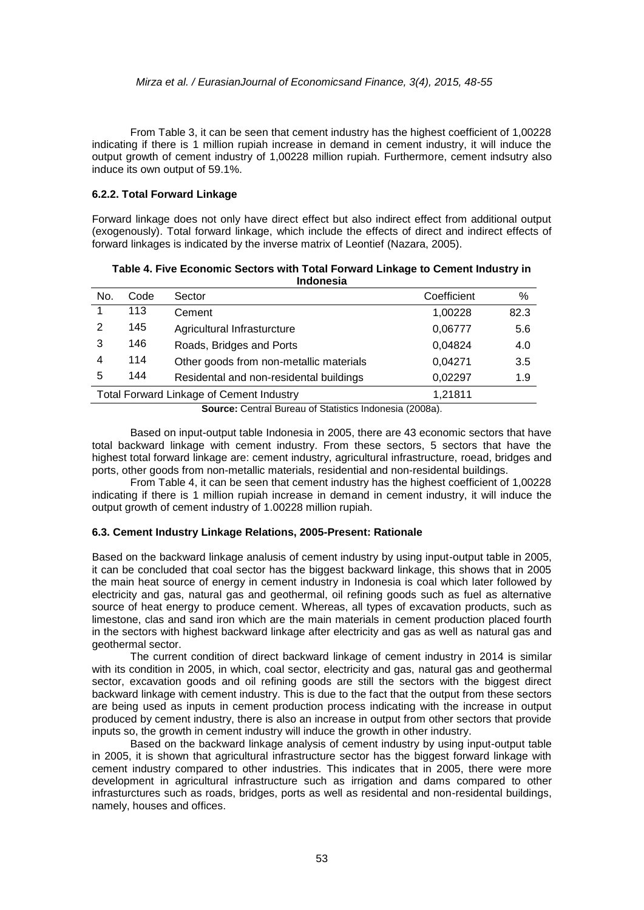#### *Mirza et al. / EurasianJournal of Economicsand Finance, 3(4), 2015, 48-55*

From Table 3, it can be seen that cement industry has the highest coefficient of 1,00228 indicating if there is 1 million rupiah increase in demand in cement industry, it will induce the output growth of cement industry of 1,00228 million rupiah. Furthermore, cement indsutry also induce its own output of 59.1%.

#### **6.2.2. Total Forward Linkage**

Forward linkage does not only have direct effect but also indirect effect from additional output (exogenously). Total forward linkage, which include the effects of direct and indirect effects of forward linkages is indicated by the inverse matrix of Leontief (Nazara, 2005).

| No.                                                        | Code | Sector                                  | Coefficient | %    |  |
|------------------------------------------------------------|------|-----------------------------------------|-------------|------|--|
|                                                            | 113  | Cement                                  | 1,00228     | 82.3 |  |
| 2                                                          | 145  | Agricultural Infrasturcture             | 0,06777     | 5.6  |  |
| 3                                                          | 146  | Roads, Bridges and Ports                | 0,04824     | 4.0  |  |
| 4                                                          | 114  | Other goods from non-metallic materials | 0,04271     | 3.5  |  |
| 5                                                          | 144  | Residental and non-residental buildings | 0,02297     | 1.9  |  |
| <b>Total Forward Linkage of Cement Industry</b><br>1,21811 |      |                                         |             |      |  |
|                                                            |      |                                         |             |      |  |

**Table 4. Five Economic Sectors with Total Forward Linkage to Cement Industry in Indonesia**

**Source:** Central Bureau of Statistics Indonesia (2008a).

Based on input-output table Indonesia in 2005, there are 43 economic sectors that have total backward linkage with cement industry. From these sectors, 5 sectors that have the highest total forward linkage are: cement industry, agricultural infrastructure, roead, bridges and ports, other goods from non-metallic materials, residential and non-residental buildings.

From Table 4, it can be seen that cement industry has the highest coefficient of 1,00228 indicating if there is 1 million rupiah increase in demand in cement industry, it will induce the output growth of cement industry of 1.00228 million rupiah.

#### **6.3. Cement Industry Linkage Relations, 2005-Present: Rationale**

Based on the backward linkage analusis of cement industry by using input-output table in 2005, it can be concluded that coal sector has the biggest backward linkage, this shows that in 2005 the main heat source of energy in cement industry in Indonesia is coal which later followed by electricity and gas, natural gas and geothermal, oil refining goods such as fuel as alternative source of heat energy to produce cement. Whereas, all types of excavation products, such as limestone, clas and sand iron which are the main materials in cement production placed fourth in the sectors with highest backward linkage after electricity and gas as well as natural gas and geothermal sector.

The current condition of direct backward linkage of cement industry in 2014 is similar with its condition in 2005, in which, coal sector, electricity and gas, natural gas and geothermal sector, excavation goods and oil refining goods are still the sectors with the biggest direct backward linkage with cement industry. This is due to the fact that the output from these sectors are being used as inputs in cement production process indicating with the increase in output produced by cement industry, there is also an increase in output from other sectors that provide inputs so, the growth in cement industry will induce the growth in other industry.

Based on the backward linkage analysis of cement industry by using input-output table in 2005, it is shown that agricultural infrastructure sector has the biggest forward linkage with cement industry compared to other industries. This indicates that in 2005, there were more development in agricultural infrastructure such as irrigation and dams compared to other infrasturctures such as roads, bridges, ports as well as residental and non-residental buildings, namely, houses and offices.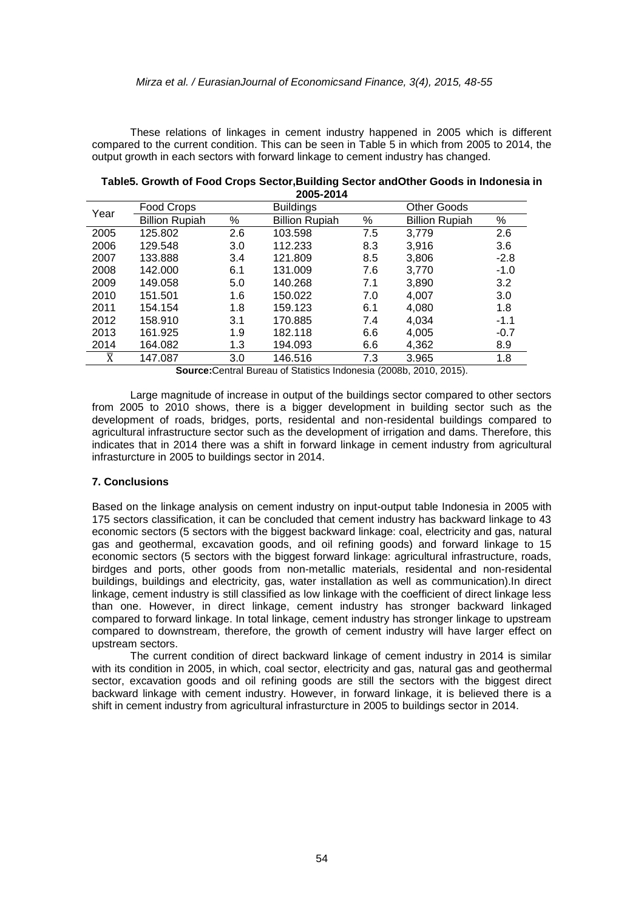These relations of linkages in cement industry happened in 2005 which is different compared to the current condition. This can be seen in Table 5 in which from 2005 to 2014, the output growth in each sectors with forward linkage to cement industry has changed.

| ZUUJ-ZU I 4    |                       |     |                       |     |                       |        |
|----------------|-----------------------|-----|-----------------------|-----|-----------------------|--------|
| Year           | Food Crops            |     | <b>Buildings</b>      |     | <b>Other Goods</b>    |        |
|                | <b>Billion Rupiah</b> | %   | <b>Billion Rupiah</b> | %   | <b>Billion Rupiah</b> | %      |
| 2005           | 125.802               | 2.6 | 103.598               | 7.5 | 3,779                 | 2.6    |
| 2006           | 129.548               | 3.0 | 112.233               | 8.3 | 3,916                 | 3.6    |
| 2007           | 133.888               | 3.4 | 121.809               | 8.5 | 3,806                 | $-2.8$ |
| 2008           | 142.000               | 6.1 | 131.009               | 7.6 | 3,770                 | $-1.0$ |
| 2009           | 149.058               | 5.0 | 140.268               | 7.1 | 3,890                 | 3.2    |
| 2010           | 151.501               | 1.6 | 150.022               | 7.0 | 4,007                 | 3.0    |
| 2011           | 154.154               | 1.8 | 159.123               | 6.1 | 4,080                 | 1.8    |
| 2012           | 158.910               | 3.1 | 170.885               | 7.4 | 4,034                 | $-1.1$ |
| 2013           | 161.925               | 1.9 | 182.118               | 6.6 | 4,005                 | $-0.7$ |
| 2014           | 164.082               | 1.3 | 194.093               | 6.6 | 4,362                 | 8.9    |
| $\overline{X}$ | 147.087               | 3.0 | 146.516               | 7.3 | 3.965                 | 1.8    |

**Table5. Growth of Food Crops Sector,Building Sector andOther Goods in Indonesia in 2005-2014**

**Source:**Central Bureau of Statistics Indonesia (2008b, 2010, 2015).

Large magnitude of increase in output of the buildings sector compared to other sectors from 2005 to 2010 shows, there is a bigger development in building sector such as the development of roads, bridges, ports, residental and non-residental buildings compared to agricultural infrastructure sector such as the development of irrigation and dams. Therefore, this indicates that in 2014 there was a shift in forward linkage in cement industry from agricultural infrasturcture in 2005 to buildings sector in 2014.

#### **7. Conclusions**

Based on the linkage analysis on cement industry on input-output table Indonesia in 2005 with 175 sectors classification, it can be concluded that cement industry has backward linkage to 43 economic sectors (5 sectors with the biggest backward linkage: coal, electricity and gas, natural gas and geothermal, excavation goods, and oil refining goods) and forward linkage to 15 economic sectors (5 sectors with the biggest forward linkage: agricultural infrastructure, roads, birdges and ports, other goods from non-metallic materials, residental and non-residental buildings, buildings and electricity, gas, water installation as well as communication).In direct linkage, cement industry is still classified as low linkage with the coefficient of direct linkage less than one. However, in direct linkage, cement industry has stronger backward linkaged compared to forward linkage. In total linkage, cement industry has stronger linkage to upstream compared to downstream, therefore, the growth of cement industry will have larger effect on upstream sectors.

The current condition of direct backward linkage of cement industry in 2014 is similar with its condition in 2005, in which, coal sector, electricity and gas, natural gas and geothermal sector, excavation goods and oil refining goods are still the sectors with the biggest direct backward linkage with cement industry. However, in forward linkage, it is believed there is a shift in cement industry from agricultural infrasturcture in 2005 to buildings sector in 2014.